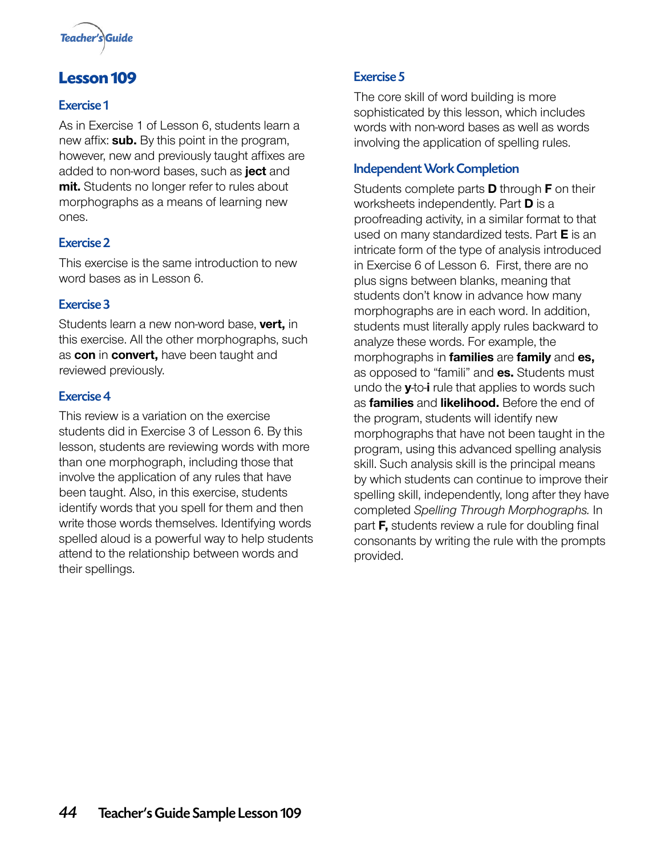

## **Lesson 109**

## Exercise 1

As in Exercise 1 of Lesson 6, students learn a new affix: **sub.** By this point in the program, however, new and previously taught affixes are added to non-word bases, such as **ject** and **mit.** Students no longer refer to rules about morphographs as a means of learning new ones.

## Exercise 2

This exercise is the same introduction to new word bases as in Lesson 6.

### Exercise 3

Students learn a new non-word base, **vert,** in this exercise. All the other morphographs, such as **con** in **convert,** have been taught and reviewed previously.

### Exercise 4

This review is a variation on the exercise students did in Exercise 3 of Lesson 6. By this lesson, students are reviewing words with more than one morphograph, including those that involve the application of any rules that have been taught. Also, in this exercise, students identify words that you spell for them and then write those words themselves. Identifying words spelled aloud is a powerful way to help students attend to the relationship between words and their spellings.

## Exercise 5

The core skill of word building is more sophisticated by this lesson, which includes words with non-word bases as well as words involving the application of spelling rules.

## Independent Work Completion

Students complete parts **D** through **F** on their worksheets independently. Part **D** is a proofreading activity, in a similar format to that used on many standardized tests. Part **E** is an intricate form of the type of analysis introduced in Exercise 6 of Lesson 6. First, there are no plus signs between blanks, meaning that students don't know in advance how many morphographs are in each word. In addition, students must literally apply rules backward to analyze these words. For example, the morphographs in **families** are **family** and **es,** as opposed to "famili" and **es.** Students must undo the **y**-to-**i** rule that applies to words such as **families** and **likelihood.** Before the end of the program, students will identify new morphographs that have not been taught in the program, using this advanced spelling analysis skill. Such analysis skill is the principal means by which students can continue to improve their spelling skill, independently, long after they have completed *Spelling Through Morphographs.* In part **F,** students review a rule for doubling final consonants by writing the rule with the prompts provided.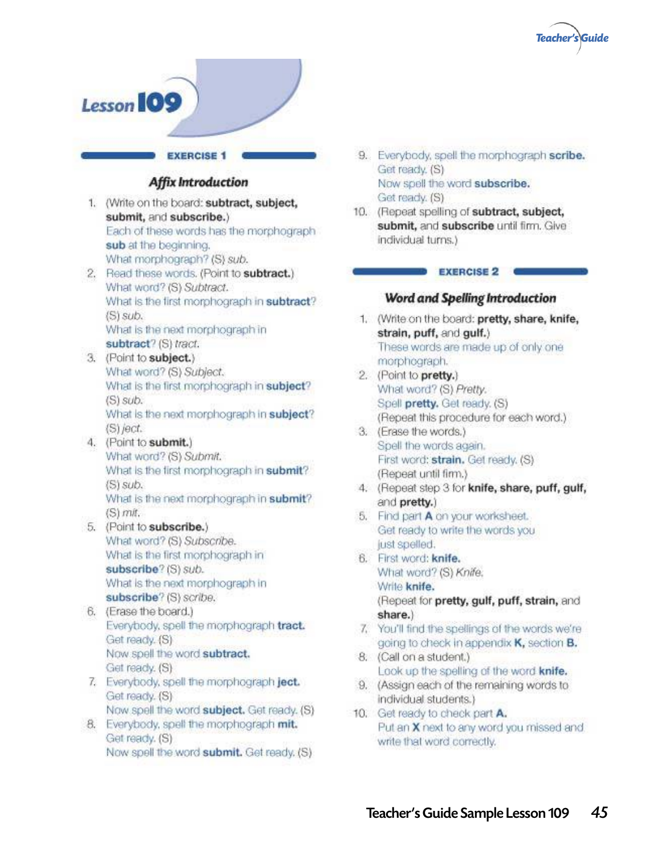



- 9. Everybody, spell the morphograph scribe. Get ready. (S) Now spell the word subscribe. Get ready. (S)
- 10. (Repeat spelling of subtract, subject, submit, and subscribe until firm. Give individual turns.)

#### **EXERCISE 2**

#### Word and Spelling Introduction

- 1. (Write on the board: pretty, share, knife, strain, puff, and gulf.) These words are made up of only one morphograph.
- 2. (Point to pretty.) What word? (S) Pretty. Spell pretty. Get ready. (S) (Repeat this procedure for each word.)
- 3. (Erase the words.) Spell the words again. First word: strain. Get ready. (S) (Repeat until firm.)
- 4. (Repeat step 3 for knife, share, puff, gulf, and pretty.)
- 5. Find part A on your worksheet. Get ready to write the words you just spelled.
- 6. First word: knife. What word? (S) Knife, Write knife. (Repeat for pretty, gulf, puff, strain, and share.)
- 7. You'll find the spellings of the words we're going to check in appendix K, section B.
- 8. (Call on a student.) Look up the spelling of the word knife.
- 9. (Assign each of the remaining words to individual students.)
- 10. Get ready to check part A. Put an X next to any word you missed and. write that word correctly.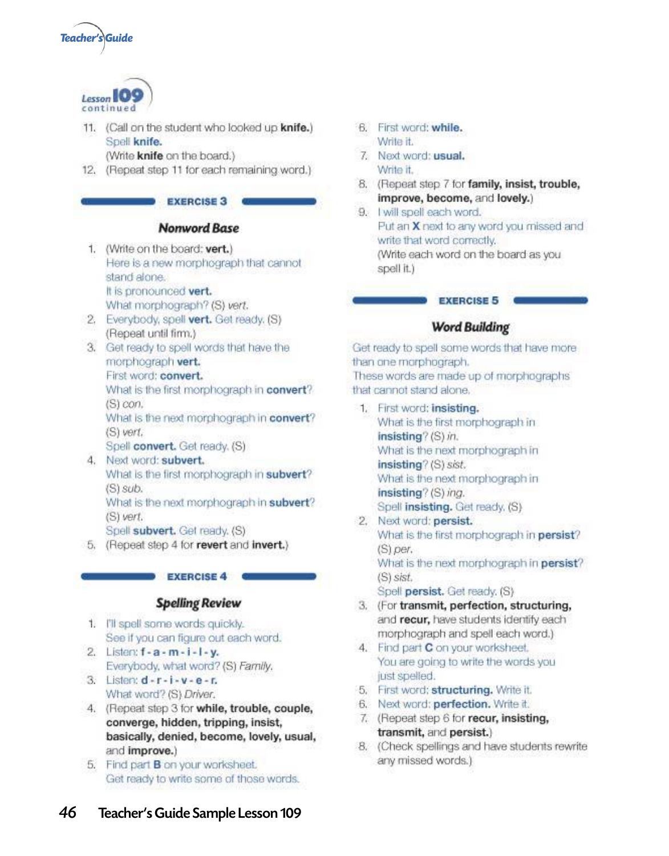



11. (Call on the student who looked up knife.) Spell knife.

(Write knife on the board.)

12. (Repeat step 11 for each remaining word.)

#### **EXERCISE 3**

#### Nonword Base

- 1. (Write on the board: vert.) Here is a new morphograph that cannot stand alone. It is pronounced vert. What morphograph? (S) vert.
- 2. Everybody, spell vert, Get ready, (S) (Repeat until firm.)
- 3. Get ready to spell words that have the morphograph vert. First word: convert. What is the first morphograph in convert? (S) con. What is the next morphograph in convert? (S) vert. Spell convert. Get ready. (S)
- 4. Next word: subvert. What is the first morphograph in subvert?  $(S)$  sub. What is the next morphograph in subvert? (S) vert. Spell subvert. Get ready. (S)

5. (Repeat step 4 for revert and invert.)

#### **EXERCISE 4**

#### **Spelling Review**

- 1. I'll spell some words quickly. See if you can figure out each word.
- 2. Listen:  $f a m i l y$ . Everybody, what word? (S) Family.
- 3. Listen:  $d r i v e r$ . What word? (S) Driver.
- 4. (Repeat step 3 for while, trouble, couple, converge, hidden, tripping, insist, basically, denied, become, lovely, usual, and improve.)
- 5. Find part B on your worksheet. Get ready to write some of those words.
- 6. First word: while. Write it.
- 7. Next word: usual. Write it
- 8. (Repeat step 7 for family, insist, trouble, improve, become, and lovely.)
- 9. I will spell each word. Put an X next to any word you missed and write that word correctly. (Write each word on the board as you spell it.)

## **EXERCISE 5**

#### **Word Building**

Get ready to spell some words that have more than one morphograph. These words are made up of morphographs that cannot stand alone.

- 1. First word: insisting. What is the first morphograph in insisting? (S) in. What is the next morphograph in  $insisting?$  (S) sist. What is the next morphograph in insisting? (S) ing. Spell insisting. Get ready, (S) 2. Next word: persist.
- What is the first morphograph in persist?  $(S)$  per. What is the next morphograph in persist? (S) sist. Spell persist. Get ready. (S)
- 3. (For transmit, perfection, structuring, and recur, have students identify each morphograph and spell each word.)
- 4. Find part C on your worksheet. You are going to write the words you just spelled.
- 5. First word: structuring. Write it.
- 6. Next word: perfection. Write it.
- 7. (Repeat step 6 for recur, insisting, transmit, and persist.)
- 8. (Check spellings and have students rewrite any missed words.)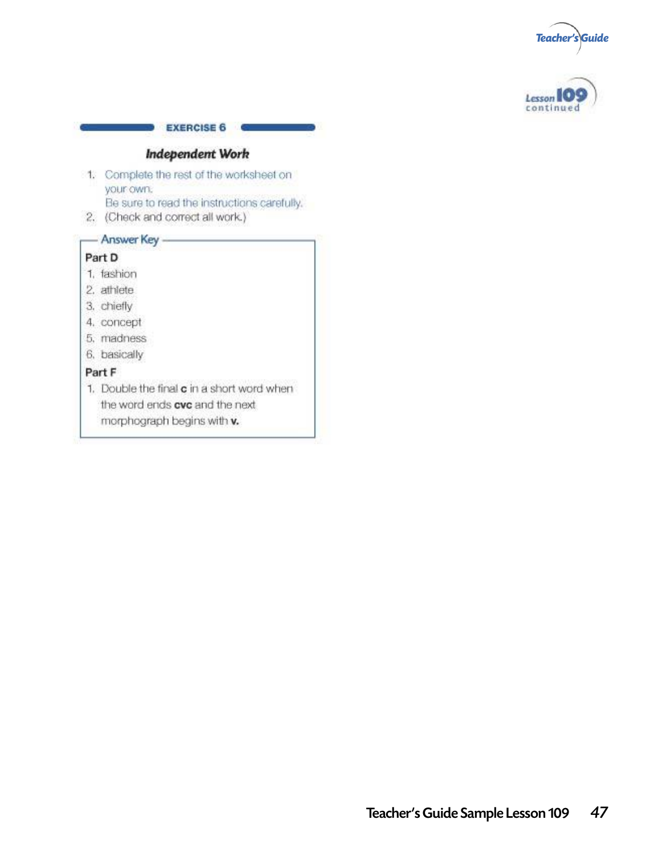



#### **Independent Work**

**EXERCISE 6** 

- 1. Complete the rest of the worksheet on your own: Be sure to read the instructions carefully.
- 2. (Check and correct all work.)

## - Answer Key -

#### Part D

- 1. fashion
- 2. athlete
- 3. chiefly
- 4. concept
- 5. madness
- 6. basically

#### Part F

1. Double the final c in a short word when the word ends cvc and the next morphograph begins with v.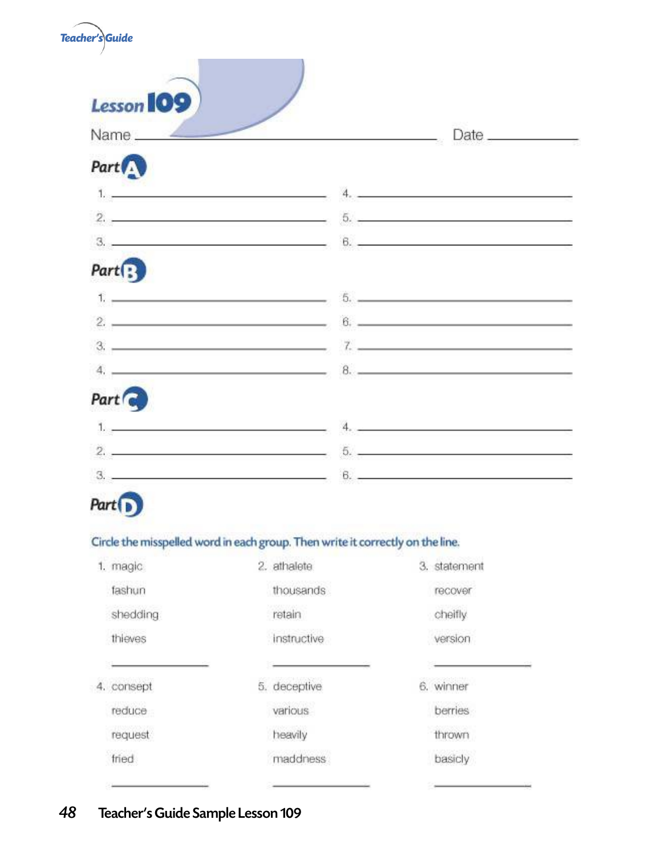| Teacher's Guide                                                                                                                                                                                                                      |                                                                                                                                                                                                                                                                                                                                                                                      |  |
|--------------------------------------------------------------------------------------------------------------------------------------------------------------------------------------------------------------------------------------|--------------------------------------------------------------------------------------------------------------------------------------------------------------------------------------------------------------------------------------------------------------------------------------------------------------------------------------------------------------------------------------|--|
| <b>Lesson 109</b>                                                                                                                                                                                                                    |                                                                                                                                                                                                                                                                                                                                                                                      |  |
| Name $\_\_\_\_$                                                                                                                                                                                                                      | Date _____                                                                                                                                                                                                                                                                                                                                                                           |  |
| Part <sup>1</sup>                                                                                                                                                                                                                    |                                                                                                                                                                                                                                                                                                                                                                                      |  |
| $\mathbf{L}$ , and the contract of the contract of the contract of the contract of the contract of the contract of the contract of the contract of the contract of the contract of the contract of the contract of the contract o    | 4.12                                                                                                                                                                                                                                                                                                                                                                                 |  |
|                                                                                                                                                                                                                                      | $2.$ $5.$                                                                                                                                                                                                                                                                                                                                                                            |  |
|                                                                                                                                                                                                                                      | $\frac{1}{2}$ . $\frac{1}{2}$ . $\frac{1}{2}$ . $\frac{1}{2}$ . $\frac{1}{2}$ . $\frac{1}{2}$ . $\frac{1}{2}$ . $\frac{1}{2}$ . $\frac{1}{2}$ . $\frac{1}{2}$ . $\frac{1}{2}$ . $\frac{1}{2}$ . $\frac{1}{2}$ . $\frac{1}{2}$ . $\frac{1}{2}$ . $\frac{1}{2}$ . $\frac{1}{2}$ . $\frac{1}{2}$ . $\frac{1$                                                                            |  |
| $Part \begin{bmatrix} \cdot \\ \cdot \end{bmatrix}$                                                                                                                                                                                  |                                                                                                                                                                                                                                                                                                                                                                                      |  |
|                                                                                                                                                                                                                                      |                                                                                                                                                                                                                                                                                                                                                                                      |  |
|                                                                                                                                                                                                                                      | $2.$ $8.$ $9.$                                                                                                                                                                                                                                                                                                                                                                       |  |
|                                                                                                                                                                                                                                      | $3.$ $7.$ $1.$                                                                                                                                                                                                                                                                                                                                                                       |  |
|                                                                                                                                                                                                                                      | $4.$ $8.$ $8.$ $1.$                                                                                                                                                                                                                                                                                                                                                                  |  |
| Part &                                                                                                                                                                                                                               |                                                                                                                                                                                                                                                                                                                                                                                      |  |
| <u>Les anno 1989, a comparatorista del comparatorista del comparatorista del comparatorista del comparatorista del comparatorista del comparatorista del comparatorista del comparatorista del comparatorista del comparatorista</u> | 4.1                                                                                                                                                                                                                                                                                                                                                                                  |  |
| $2.$ $\overline{\phantom{a}}$                                                                                                                                                                                                        | $\begin{array}{c} 6. \end{array}$                                                                                                                                                                                                                                                                                                                                                    |  |
| $3. -$                                                                                                                                                                                                                               | $\overline{a}$ $\overline{b}$ $\overline{c}$ $\overline{c}$ $\overline{c}$ $\overline{c}$ $\overline{c}$ $\overline{c}$ $\overline{c}$ $\overline{c}$ $\overline{c}$ $\overline{c}$ $\overline{c}$ $\overline{c}$ $\overline{c}$ $\overline{c}$ $\overline{c}$ $\overline{c}$ $\overline{c}$ $\overline{c}$ $\overline{c}$ $\overline{c}$ $\overline{c}$ $\overline{c}$ $\overline{$ |  |

# Part <sup>1</sup>

## Circle the misspelled word in each group. Then write it correctly on the line.

| 1. magic   | 2. athalete  | 3. statement |
|------------|--------------|--------------|
| fashun     | thousands    | recover      |
| shedding   | retain       | cheifly      |
| thieves    | instructive  | version      |
|            |              |              |
| 4. consept | 5. deceptive | 6. winner    |
| reduce     | various      | berries      |
| request    | heavily      | thrown       |
| fried      | maddness.    | basicly      |
|            |              |              |